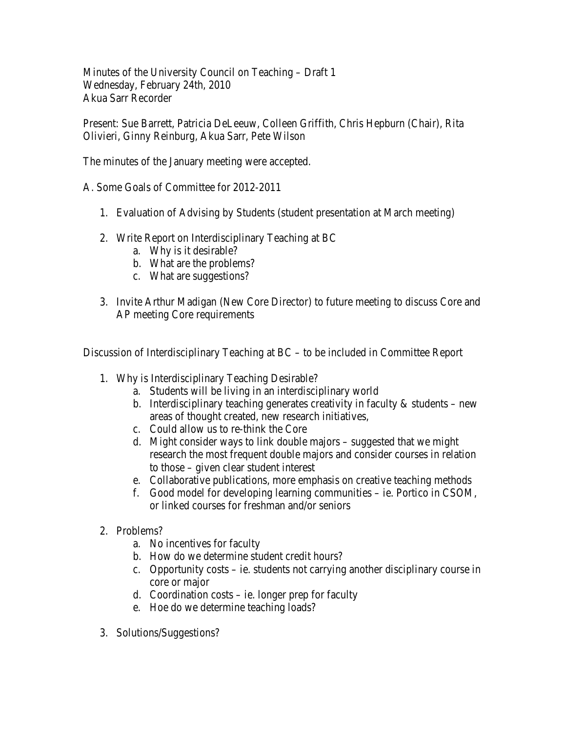Minutes of the University Council on Teaching – Draft 1 Wednesday, February 24th, 2010 Akua Sarr Recorder

Present: Sue Barrett, Patricia DeLeeuw, Colleen Griffith, Chris Hepburn (Chair), Rita Olivieri, Ginny Reinburg, Akua Sarr, Pete Wilson

The minutes of the January meeting were accepted.

A. Some Goals of Committee for 2012-2011

- 1. Evaluation of Advising by Students (student presentation at March meeting)
- 2. Write Report on Interdisciplinary Teaching at BC
	- a. Why is it desirable?
	- b. What are the problems?
	- c. What are suggestions?
- 3. Invite Arthur Madigan (New Core Director) to future meeting to discuss Core and AP meeting Core requirements

Discussion of Interdisciplinary Teaching at BC – to be included in Committee Report

- 1. Why is Interdisciplinary Teaching Desirable?
	- a. Students will be living in an interdisciplinary world
	- b. Interdisciplinary teaching generates creativity in faculty  $\&$  students new areas of thought created, new research initiatives,
	- c. Could allow us to re-think the Core
	- d. Might consider ways to link double majors suggested that we might research the most frequent double majors and consider courses in relation to those – given clear student interest
	- e. Collaborative publications, more emphasis on creative teaching methods
	- f. Good model for developing learning communities ie. Portico in CSOM, or linked courses for freshman and/or seniors
- 2. Problems?
	- a. No incentives for faculty
	- b. How do we determine student credit hours?
	- c. Opportunity costs ie. students not carrying another disciplinary course in core or major
	- d. Coordination costs ie. longer prep for faculty
	- e. Hoe do we determine teaching loads?
- 3. Solutions/Suggestions?